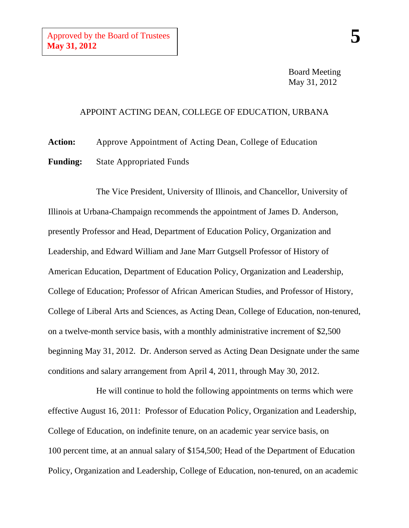Board Meeting May 31, 2012

## APPOINT ACTING DEAN, COLLEGE OF EDUCATION, URBANA

**Action:** Approve Appointment of Acting Dean, College of Education

**Funding:** State Appropriated Funds

The Vice President, University of Illinois, and Chancellor, University of Illinois at Urbana-Champaign recommends the appointment of James D. Anderson, presently Professor and Head, Department of Education Policy, Organization and Leadership, and Edward William and Jane Marr Gutgsell Professor of History of American Education, Department of Education Policy, Organization and Leadership, College of Education; Professor of African American Studies, and Professor of History, College of Liberal Arts and Sciences, as Acting Dean, College of Education, non-tenured, on a twelve-month service basis, with a monthly administrative increment of \$2,500 beginning May 31, 2012. Dr. Anderson served as Acting Dean Designate under the same conditions and salary arrangement from April 4, 2011, through May 30, 2012.

He will continue to hold the following appointments on terms which were effective August 16, 2011: Professor of Education Policy, Organization and Leadership, College of Education, on indefinite tenure, on an academic year service basis, on 100 percent time, at an annual salary of \$154,500; Head of the Department of Education Policy, Organization and Leadership, College of Education, non-tenured, on an academic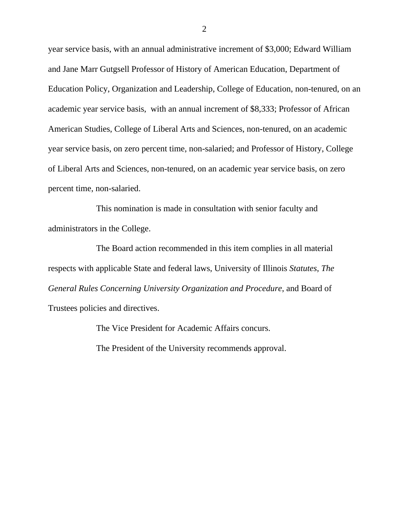year service basis, with an annual administrative increment of \$3,000; Edward William and Jane Marr Gutgsell Professor of History of American Education, Department of Education Policy, Organization and Leadership, College of Education, non-tenured, on an academic year service basis, with an annual increment of \$8,333; Professor of African American Studies, College of Liberal Arts and Sciences, non-tenured, on an academic year service basis, on zero percent time, non-salaried; and Professor of History, College of Liberal Arts and Sciences, non-tenured, on an academic year service basis, on zero percent time, non-salaried.

This nomination is made in consultation with senior faculty and administrators in the College.

The Board action recommended in this item complies in all material respects with applicable State and federal laws, University of Illinois *Statutes*, *The General Rules Concerning University Organization and Procedure*, and Board of Trustees policies and directives.

The Vice President for Academic Affairs concurs.

The President of the University recommends approval.